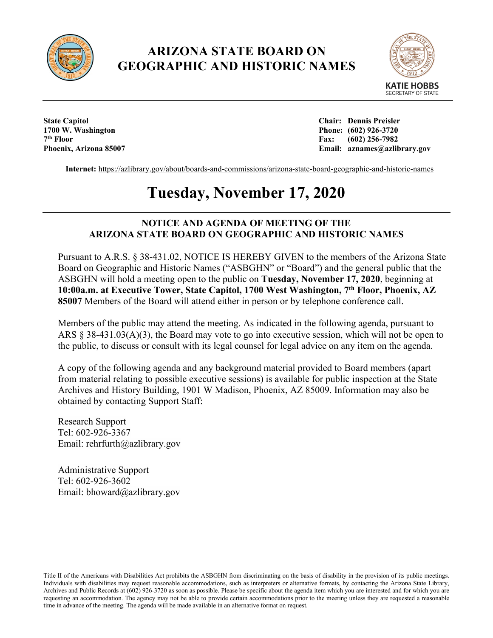

## **ARIZONA STATE BOARD ON GEOGRAPHIC AND HISTORIC NAMES**



**State Capitol Chair: Dennis Preisler 1700 W. Washington Phone: (602) 926-3720 7th Floor Fax: (602) 256-7982**

**Phoenix, Arizona 85007 Email: aznames@azlibrary.gov**

**Internet:** <https://azlibrary.gov/about/boards-and-commissions/arizona-state-board-geographic-and-historic-names>

# **Tuesday, November 17, 2020**

## **NOTICE AND AGENDA OF MEETING OF THE ARIZONA STATE BOARD ON GEOGRAPHIC AND HISTORIC NAMES**

Pursuant to A.R.S. § 38-431.02, NOTICE IS HEREBY GIVEN to the members of the Arizona State Board on Geographic and Historic Names ("ASBGHN" or "Board") and the general public that the ASBGHN will hold a meeting open to the public on **Tuesday, November 17, 2020**, beginning at **10:00a.m. at Executive Tower, State Capitol, 1700 West Washington, 7th Floor, Phoenix, AZ 85007** Members of the Board will attend either in person or by telephone conference call.

Members of the public may attend the meeting. As indicated in the following agenda, pursuant to ARS § 38-431.03(A)(3), the Board may vote to go into executive session, which will not be open to the public, to discuss or consult with its legal counsel for legal advice on any item on the agenda.

A copy of the following agenda and any background material provided to Board members (apart from material relating to possible executive sessions) is available for public inspection at the State Archives and History Building, 1901 W Madison, Phoenix, AZ 85009. Information may also be obtained by contacting Support Staff:

Research Support Tel: 602-926-3367 Email: rehrfurth@azlibrary.gov

Administrative Support Tel: 602-926-3602 Email: bhoward@azlibrary.gov

Title II of the Americans with Disabilities Act prohibits the ASBGHN from discriminating on the basis of disability in the provision of its public meetings. Individuals with disabilities may request reasonable accommodations, such as interpreters or alternative formats, by contacting the Arizona State Library, Archives and Public Records at (602) 926-3720 as soon as possible. Please be specific about the agenda item which you are interested and for which you are requesting an accommodation. The agency may not be able to provide certain accommodations prior to the meeting unless they are requested a reasonable time in advance of the meeting. The agenda will be made available in an alternative format on request.